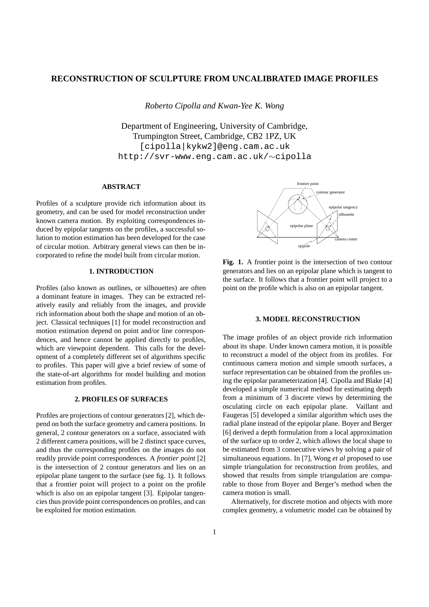# **RECONSTRUCTION OF SCULPTURE FROM UNCALIBRATED IMAGE PROFILES**

*Roberto Cipolla and Kwan-Yee K. Wong*

Department of Engineering, University of Cambridge, Trumpington Street, Cambridge, CB2 1PZ, UK [cipolla|kykw2]@eng.cam.ac.uk http://svr-www.eng.cam.ac.uk/∼cipolla

## **ABSTRACT**

Profiles of a sculpture provide rich information about its geometry, and can be used for model reconstruction under known camera motion. By exploiting correspondences induced by epipolar tangents on the profiles, a successful solution to motion estimation has been developed for the case of circular motion. Arbitrary general views can then be incorporated to refine the model built from circular motion.

# **1. INTRODUCTION**

Profiles (also known as outlines, or silhouettes) are often a dominant feature in images. They can be extracted relatively easily and reliably from the images, and provide rich information about both the shape and motion of an object. Classical techniques [1] for model reconstruction and motion estimation depend on point and/or line correspondences, and hence cannot be applied directly to profiles, which are viewpoint dependent. This calls for the development of a completely different set of algorithms specific to profiles. This paper will give a brief review of some of the state-of-art algorithms for model building and motion estimation from profiles.

### **2. PROFILES OF SURFACES**

Profiles are projections of contour generators [2], which depend on both the surface geometry and camera positions. In general, 2 contour generators on a surface, associated with 2 different camera positions, will be 2 distinct space curves, and thus the corresponding profiles on the images do not readily provide point correspondences. A *frontier point* [2] is the intersection of 2 contour generators and lies on an epipolar plane tangent to the surface (see fig. 1). It follows that a frontier point will project to a point on the profile which is also on an epipolar tangent [3]. Epipolar tangencies thus provide point correspondences on profiles, and can be exploited for motion estimation.



**Fig. 1.** A frontier point is the intersection of two contour generators and lies on an epipolar plane which is tangent to the surface. It follows that a frontier point will project to a point on the profile which is also on an epipolar tangent.

## **3. MODEL RECONSTRUCTION**

The image profiles of an object provide rich information about its shape. Under known camera motion, it is possible to reconstruct a model of the object from its profiles. For continuous camera motion and simple smooth surfaces, a surface representation can be obtained from the profiles using the epipolar parameterization [4]. Cipolla and Blake [4] developed a simple numerical method for estimating depth from a minimum of 3 discrete views by determining the osculating circle on each epipolar plane. Vaillant and Faugeras [5] developed a similar algorithm which uses the radial plane instead of the epipolar plane. Boyer and Berger [6] derived a depth formulation from a local approximation of the surface up to order 2, which allows the local shape to be estimated from 3 consecutive views by solving a pair of simultaneous equations. In [7], Wong *et al* proposed to use simple triangulation for reconstruction from profiles, and showed that results from simple triangulation are comparable to those from Boyer and Berger's method when the camera motion is small.

Alternatively, for discrete motion and objects with more complex geometry, a volumetric model can be obtained by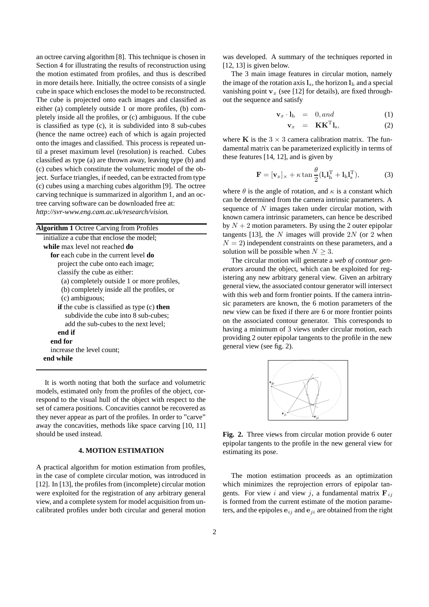an octree carving algorithm [8]. This technique is chosen in Section 4 for illustrating the results of reconstruction using the motion estimated from profiles, and thus is described in more details here. Initially, the octree consists of a single cube in space which encloses the model to be reconstructed. The cube is projected onto each images and classified as either (a) completely outside 1 or more profiles, (b) completely inside all the profiles, or (c) ambiguous. If the cube is classified as type (c), it is subdivided into 8 sub-cubes (hence the name octree) each of which is again projected onto the images and classified. This process is repeated until a preset maximum level (resolution) is reached. Cubes classified as type (a) are thrown away, leaving type (b) and (c) cubes which constitute the volumetric model of the object. Surface triangles, if needed, can be extracted from type (c) cubes using a marching cubes algorithm [9]. The octree carving technique is summarized in algorithm 1, and an octree carving software can be downloaded free at: *http://svr-www.eng.cam.ac.uk/research/vision*.

| <b>Algorithm 1</b> Octree Carving from Profiles     |
|-----------------------------------------------------|
| initialize a cube that enclose the model;           |
| while max level not reached do                      |
| <b>for</b> each cube in the current level <b>do</b> |
| project the cube onto each image;                   |
| classify the cube as either:                        |
| (a) completely outside 1 or more profiles,          |
| (b) completely inside all the profiles, or          |
| (c) ambiguous;                                      |
| if the cube is classified as type (c) then          |
| subdivide the cube into 8 sub-cubes;                |
| add the sub-cubes to the next level;                |
| end if                                              |
| end for                                             |
| increase the level count;                           |
| end while                                           |

It is worth noting that both the surface and volumetric models, estimated only from the profiles of the object, correspond to the visual hull of the object with respect to the set of camera positions. Concavities cannot be recovered as they never appear as part of the profiles. In order to "carve" away the concavities, methods like space carving [10, 11] should be used instead.

#### **4. MOTION ESTIMATION**

A practical algorithm for motion estimation from profiles, in the case of complete circular motion, was introduced in [12]. In [13], the profiles from (incomplete) circular motion were exploited for the registration of any arbitrary general view, and a complete system for model acquisition from uncalibrated profiles under both circular and general motion was developed. A summary of the techniques reported in [12, 13] is given below.

The 3 main image features in circular motion, namely the image of the rotation axis  $\mathbf{l}_s$ , the horizon  $\mathbf{l}_h$  and a special vanishing point  $v_x$  (see [12] for details), are fixed throughout the sequence and satisfy

$$
\mathbf{v}_x \cdot \mathbf{l}_h = 0, and \qquad (1)
$$

$$
\mathbf{v}_x = \mathbf{K} \mathbf{K}^{\mathrm{T}} \mathbf{l}_s, \tag{2}
$$

where **K** is the  $3 \times 3$  camera calibration matrix. The fundamental matrix can be parameterized explicitly in terms of these features [14, 12], and is given by

$$
\mathbf{F} = [\mathbf{v}_x]_{\times} + \kappa \tan \frac{\theta}{2} (\mathbf{l}_s \mathbf{l}_h^{\mathrm{T}} + \mathbf{l}_h \mathbf{l}_s^{\mathrm{T}}), \tag{3}
$$

where  $\theta$  is the angle of rotation, and  $\kappa$  is a constant which can be determined from the camera intrinsic parameters. A sequence of  $N$  images taken under circular motion, with known camera intrinsic parameters, can hence be described by  $N + 2$  motion parameters. By using the 2 outer epipolar tangents [13], the N images will provide  $2N$  (or 2 when  $N = 2$ ) independent constraints on these parameters, and a solution will be possible when  $N \geq 3$ .

The circular motion will generate a *web of contour generators* around the object, which can be exploited for registering any new arbitrary general view. Given an arbitrary general view, the associated contour generator will intersect with this web and form frontier points. If the camera intrinsic parameters are known, the 6 motion parameters of the new view can be fixed if there are 6 or more frontier points on the associated contour generator. This corresponds to having a minimum of 3 views under circular motion, each providing 2 outer epipolar tangents to the profile in the new general view (see fig. 2).



**Fig. 2.** Three views from circular motion provide 6 outer epipolar tangents to the profile in the new general view for estimating its pose.

The motion estimation proceeds as an optimization which minimizes the reprojection errors of epipolar tangents. For view i and view j, a fundamental matrix  $\mathbf{F}_{ij}$ is formed from the current estimate of the motion parameters, and the epipoles  $e_{ij}$  and  $e_{ji}$  are obtained from the right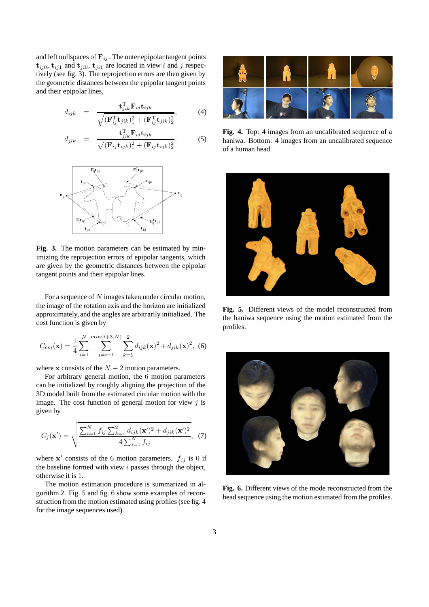and left nullspaces of  $\mathbf{F}_{ij}$ . The outer epipolar tangent points  $\mathbf{t}_{ij0}$ ,  $\mathbf{t}_{ij1}$  and  $\mathbf{t}_{ji0}$ ,  $\mathbf{t}_{ji1}$  are located in view i and j respectively (see fig. 3). The reprojection errors are then given by the geometric distances between the epipolar tangent points and their epipolar lines,

$$
d_{ijk} = \frac{\mathbf{t}_{jik}^{\mathrm{T}} \mathbf{F}_{ij} \mathbf{t}_{ijk}}{\sqrt{(\mathbf{F}_{ij}^{\mathrm{T}} \mathbf{t}_{jik})_1^2 + (\mathbf{F}_{ij}^{\mathrm{T}} \mathbf{t}_{jik})_2^2}},
$$
(4)

$$
d_{jik} = \frac{\mathbf{t}_{jik}^{\mathrm{T}} \mathbf{F}_{ij} \mathbf{t}_{ijk}}{\sqrt{(\mathbf{F}_{ij} \mathbf{t}_{ijk})_1^2 + (\mathbf{F}_{ij} \mathbf{t}_{ijk})_2^2}}.
$$
 (5)



**Fig. 3.** The motion parameters can be estimated by minimizing the reprojection errors of epipolar tangents, which are given by the geometric distances between the epipolar tangent points and their epipolar lines.

For a sequence of N images taken under circular motion, the image of the rotation axis and the horizon are initialized approximately, and the angles are arbitrarily initialized. The cost function is given by

$$
C_{cm}(\mathbf{x}) = \frac{1}{4} \sum_{i=1}^{N} \sum_{j=i+1}^{min(i+3,N)} \sum_{k=1}^{2} d_{ijk}(\mathbf{x})^2 + d_{jik}(\mathbf{x})^2, \tag{6}
$$

where **x** consists of the  $N + 2$  motion parameters.

For arbitrary general motion, the 6 motion parameters can be initialized by roughly aligning the projection of the 3D model built from the estimated circular motion with the image. The cost function of general motion for view  $j$  is given by

$$
C_j(\mathbf{x}') = \sqrt{\frac{\sum_{i=1}^N f_{ij} \sum_{k=1}^2 d_{ijk}(\mathbf{x}')^2 + d_{jik}(\mathbf{x}')^2}{4 \sum_{i=1}^N f_{ij}}}, \quad (7)
$$

where  $x'$  consists of the 6 motion parameters.  $f_{ij}$  is 0 if the baseline formed with view  $i$  passes through the object, otherwise it is 1.

The motion estimation procedure is summarized in algorithm 2. Fig. 5 and fig. 6 show some examples of reconstruction from the motion estimated using profiles (see fig. 4 for the image sequences used).



**Fig. 4.** Top: 4 images from an uncalibrated sequence of a haniwa. Bottom: 4 images from an uncalibrated sequence of a human head.



**Fig. 5.** Different views of the model reconstructed from the haniwa sequence using the motion estimated from the profiles.



**Fig. 6.** Different views of the mode reconstructed from the head sequence using the motion estimated from the profiles.